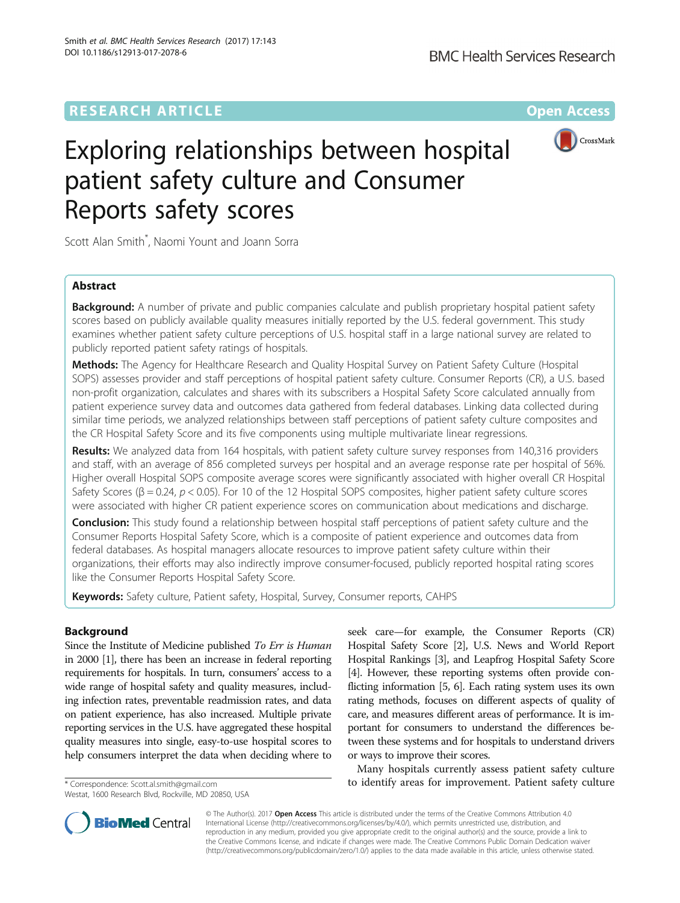## **RESEARCH ARTICLE Example 2014 12:30 The Contract of Contract ACCESS**



# Exploring relationships between hospital patient safety culture and Consumer Reports safety scores

Scott Alan Smith\* , Naomi Yount and Joann Sorra

## Abstract

**Background:** A number of private and public companies calculate and publish proprietary hospital patient safety scores based on publicly available quality measures initially reported by the U.S. federal government. This study examines whether patient safety culture perceptions of U.S. hospital staff in a large national survey are related to publicly reported patient safety ratings of hospitals.

Methods: The Agency for Healthcare Research and Quality Hospital Survey on Patient Safety Culture (Hospital SOPS) assesses provider and staff perceptions of hospital patient safety culture. Consumer Reports (CR), a U.S. based non-profit organization, calculates and shares with its subscribers a Hospital Safety Score calculated annually from patient experience survey data and outcomes data gathered from federal databases. Linking data collected during similar time periods, we analyzed relationships between staff perceptions of patient safety culture composites and the CR Hospital Safety Score and its five components using multiple multivariate linear regressions.

Results: We analyzed data from 164 hospitals, with patient safety culture survey responses from 140,316 providers and staff, with an average of 856 completed surveys per hospital and an average response rate per hospital of 56%. Higher overall Hospital SOPS composite average scores were significantly associated with higher overall CR Hospital Safety Scores ( $\beta$  = 0.24,  $p$  < 0.05). For 10 of the 12 Hospital SOPS composites, higher patient safety culture scores were associated with higher CR patient experience scores on communication about medications and discharge.

**Conclusion:** This study found a relationship between hospital staff perceptions of patient safety culture and the Consumer Reports Hospital Safety Score, which is a composite of patient experience and outcomes data from federal databases. As hospital managers allocate resources to improve patient safety culture within their organizations, their efforts may also indirectly improve consumer-focused, publicly reported hospital rating scores like the Consumer Reports Hospital Safety Score.

Keywords: Safety culture, Patient safety, Hospital, Survey, Consumer reports, CAHPS

## Background

Since the Institute of Medicine published To Err is Human in 2000 [[1](#page-7-0)], there has been an increase in federal reporting requirements for hospitals. In turn, consumers' access to a wide range of hospital safety and quality measures, including infection rates, preventable readmission rates, and data on patient experience, has also increased. Multiple private reporting services in the U.S. have aggregated these hospital quality measures into single, easy-to-use hospital scores to help consumers interpret the data when deciding where to

Westat, 1600 Research Blvd, Rockville, MD 20850, USA

seek care—for example, the Consumer Reports (CR) Hospital Safety Score [\[2\]](#page-7-0), U.S. News and World Report Hospital Rankings [[3](#page-7-0)], and Leapfrog Hospital Safety Score [[4](#page-7-0)]. However, these reporting systems often provide conflicting information [[5](#page-7-0), [6](#page-7-0)]. Each rating system uses its own rating methods, focuses on different aspects of quality of care, and measures different areas of performance. It is important for consumers to understand the differences between these systems and for hospitals to understand drivers or ways to improve their scores.

Many hospitals currently assess patient safety culture \* Correspondence: [Scott.al.smith@gmail.com](mailto:Scott.al.smith@gmail.com) **to identify areas for improvement. Patient safety culture** 



© The Author(s). 2017 **Open Access** This article is distributed under the terms of the Creative Commons Attribution 4.0 International License [\(http://creativecommons.org/licenses/by/4.0/](http://creativecommons.org/licenses/by/4.0/)), which permits unrestricted use, distribution, and reproduction in any medium, provided you give appropriate credit to the original author(s) and the source, provide a link to the Creative Commons license, and indicate if changes were made. The Creative Commons Public Domain Dedication waiver [\(http://creativecommons.org/publicdomain/zero/1.0/](http://creativecommons.org/publicdomain/zero/1.0/)) applies to the data made available in this article, unless otherwise stated.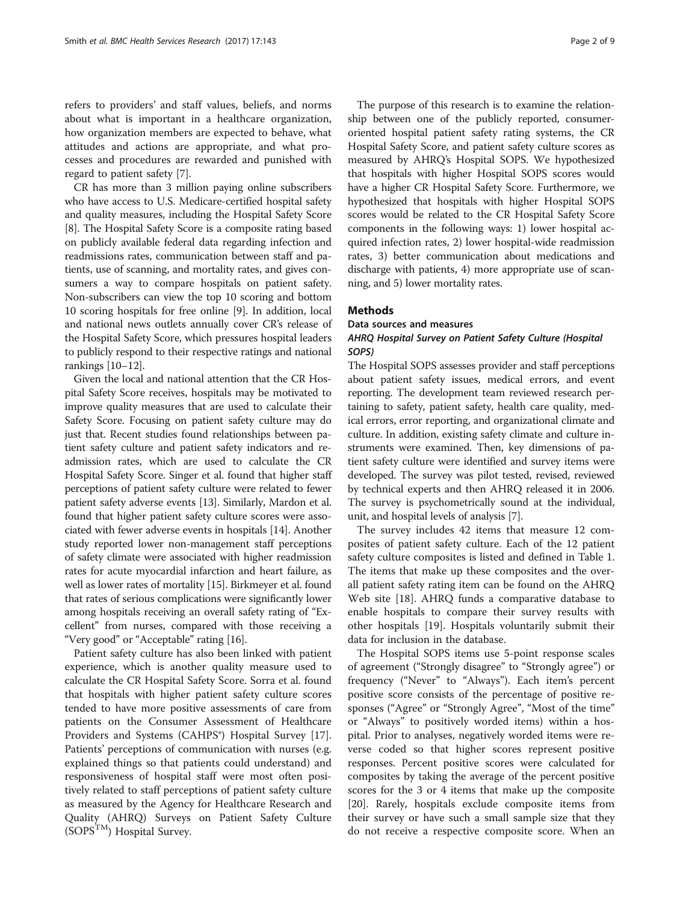refers to providers' and staff values, beliefs, and norms about what is important in a healthcare organization, how organization members are expected to behave, what attitudes and actions are appropriate, and what processes and procedures are rewarded and punished with regard to patient safety [\[7](#page-7-0)].

CR has more than 3 million paying online subscribers who have access to U.S. Medicare-certified hospital safety and quality measures, including the Hospital Safety Score [[8\]](#page-7-0). The Hospital Safety Score is a composite rating based on publicly available federal data regarding infection and readmissions rates, communication between staff and patients, use of scanning, and mortality rates, and gives consumers a way to compare hospitals on patient safety. Non-subscribers can view the top 10 scoring and bottom 10 scoring hospitals for free online [\[9](#page-7-0)]. In addition, local and national news outlets annually cover CR's release of the Hospital Safety Score, which pressures hospital leaders to publicly respond to their respective ratings and national rankings [[10](#page-7-0)–[12\]](#page-8-0).

Given the local and national attention that the CR Hospital Safety Score receives, hospitals may be motivated to improve quality measures that are used to calculate their Safety Score. Focusing on patient safety culture may do just that. Recent studies found relationships between patient safety culture and patient safety indicators and readmission rates, which are used to calculate the CR Hospital Safety Score. Singer et al. found that higher staff perceptions of patient safety culture were related to fewer patient safety adverse events [[13](#page-8-0)]. Similarly, Mardon et al. found that higher patient safety culture scores were associated with fewer adverse events in hospitals [[14](#page-8-0)]. Another study reported lower non-management staff perceptions of safety climate were associated with higher readmission rates for acute myocardial infarction and heart failure, as well as lower rates of mortality [[15](#page-8-0)]. Birkmeyer et al. found that rates of serious complications were significantly lower among hospitals receiving an overall safety rating of "Excellent" from nurses, compared with those receiving a "Very good" or "Acceptable" rating [[16](#page-8-0)].

Patient safety culture has also been linked with patient experience, which is another quality measure used to calculate the CR Hospital Safety Score. Sorra et al. found that hospitals with higher patient safety culture scores tended to have more positive assessments of care from patients on the Consumer Assessment of Healthcare Providers and Systems (CAHPS®) Hospital Survey [\[17](#page-8-0)]. Patients' perceptions of communication with nurses (e.g. explained things so that patients could understand) and responsiveness of hospital staff were most often positively related to staff perceptions of patient safety culture as measured by the Agency for Healthcare Research and Quality (AHRQ) Surveys on Patient Safety Culture  $(SOPS<sup>TM</sup>)$  Hospital Survey.

The purpose of this research is to examine the relationship between one of the publicly reported, consumeroriented hospital patient safety rating systems, the CR Hospital Safety Score, and patient safety culture scores as measured by AHRQ's Hospital SOPS. We hypothesized that hospitals with higher Hospital SOPS scores would have a higher CR Hospital Safety Score. Furthermore, we hypothesized that hospitals with higher Hospital SOPS scores would be related to the CR Hospital Safety Score components in the following ways: 1) lower hospital acquired infection rates, 2) lower hospital-wide readmission rates, 3) better communication about medications and discharge with patients, 4) more appropriate use of scanning, and 5) lower mortality rates.

## **Methods**

Data sources and measures

## AHRQ Hospital Survey on Patient Safety Culture (Hospital SOPS)

The Hospital SOPS assesses provider and staff perceptions about patient safety issues, medical errors, and event reporting. The development team reviewed research pertaining to safety, patient safety, health care quality, medical errors, error reporting, and organizational climate and culture. In addition, existing safety climate and culture instruments were examined. Then, key dimensions of patient safety culture were identified and survey items were developed. The survey was pilot tested, revised, reviewed by technical experts and then AHRQ released it in 2006. The survey is psychometrically sound at the individual, unit, and hospital levels of analysis [\[7](#page-7-0)].

The survey includes 42 items that measure 12 composites of patient safety culture. Each of the 12 patient safety culture composites is listed and defined in Table [1](#page-2-0). The items that make up these composites and the overall patient safety rating item can be found on the AHRQ Web site [[18](#page-8-0)]. AHRQ funds a comparative database to enable hospitals to compare their survey results with other hospitals [\[19\]](#page-8-0). Hospitals voluntarily submit their data for inclusion in the database.

The Hospital SOPS items use 5-point response scales of agreement ("Strongly disagree" to "Strongly agree") or frequency ("Never" to "Always"). Each item's percent positive score consists of the percentage of positive responses ("Agree" or "Strongly Agree", "Most of the time" or "Always" to positively worded items) within a hospital. Prior to analyses, negatively worded items were reverse coded so that higher scores represent positive responses. Percent positive scores were calculated for composites by taking the average of the percent positive scores for the 3 or 4 items that make up the composite [[20\]](#page-8-0). Rarely, hospitals exclude composite items from their survey or have such a small sample size that they do not receive a respective composite score. When an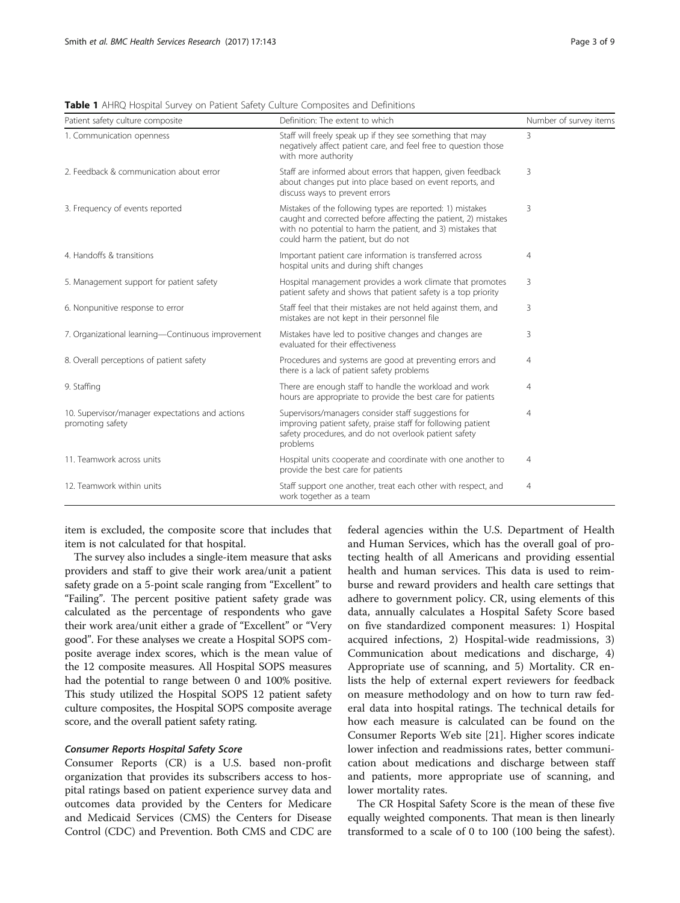| Patient safety culture composite                                    | Definition: The extent to which                                                                                                                                                                                                  | Number of survey items |
|---------------------------------------------------------------------|----------------------------------------------------------------------------------------------------------------------------------------------------------------------------------------------------------------------------------|------------------------|
| 1. Communication openness                                           | Staff will freely speak up if they see something that may<br>negatively affect patient care, and feel free to question those<br>with more authority                                                                              | 3                      |
| 2. Feedback & communication about error                             | Staff are informed about errors that happen, given feedback<br>about changes put into place based on event reports, and<br>discuss ways to prevent errors                                                                        | 3                      |
| 3. Frequency of events reported                                     | Mistakes of the following types are reported: 1) mistakes<br>caught and corrected before affecting the patient, 2) mistakes<br>with no potential to harm the patient, and 3) mistakes that<br>could harm the patient, but do not | 3                      |
| 4. Handoffs & transitions                                           | Important patient care information is transferred across<br>hospital units and during shift changes                                                                                                                              | $\overline{4}$         |
| 5. Management support for patient safety                            | Hospital management provides a work climate that promotes<br>patient safety and shows that patient safety is a top priority                                                                                                      | 3                      |
| 6. Nonpunitive response to error                                    | Staff feel that their mistakes are not held against them, and<br>mistakes are not kept in their personnel file                                                                                                                   | 3                      |
| 7. Organizational learning-Continuous improvement                   | Mistakes have led to positive changes and changes are<br>evaluated for their effectiveness                                                                                                                                       | 3                      |
| 8. Overall perceptions of patient safety                            | Procedures and systems are good at preventing errors and<br>there is a lack of patient safety problems                                                                                                                           | $\overline{4}$         |
| 9. Staffing                                                         | There are enough staff to handle the workload and work<br>hours are appropriate to provide the best care for patients                                                                                                            | $\overline{4}$         |
| 10. Supervisor/manager expectations and actions<br>promoting safety | Supervisors/managers consider staff suggestions for<br>improving patient safety, praise staff for following patient<br>safety procedures, and do not overlook patient safety<br>problems                                         | $\overline{4}$         |
| 11. Teamwork across units                                           | Hospital units cooperate and coordinate with one another to<br>provide the best care for patients                                                                                                                                | $\overline{4}$         |
| 12. Teamwork within units                                           | Staff support one another, treat each other with respect, and<br>work together as a team                                                                                                                                         | $\overline{4}$         |

<span id="page-2-0"></span>Table 1 AHRQ Hospital Survey on Patient Safety Culture Composites and Definitions

item is excluded, the composite score that includes that item is not calculated for that hospital.

The survey also includes a single-item measure that asks providers and staff to give their work area/unit a patient safety grade on a 5-point scale ranging from "Excellent" to "Failing". The percent positive patient safety grade was calculated as the percentage of respondents who gave their work area/unit either a grade of "Excellent" or "Very good". For these analyses we create a Hospital SOPS composite average index scores, which is the mean value of the 12 composite measures. All Hospital SOPS measures had the potential to range between 0 and 100% positive. This study utilized the Hospital SOPS 12 patient safety culture composites, the Hospital SOPS composite average score, and the overall patient safety rating.

## Consumer Reports Hospital Safety Score

Consumer Reports (CR) is a U.S. based non-profit organization that provides its subscribers access to hospital ratings based on patient experience survey data and outcomes data provided by the Centers for Medicare and Medicaid Services (CMS) the Centers for Disease Control (CDC) and Prevention. Both CMS and CDC are federal agencies within the U.S. Department of Health and Human Services, which has the overall goal of protecting health of all Americans and providing essential health and human services. This data is used to reimburse and reward providers and health care settings that adhere to government policy. CR, using elements of this data, annually calculates a Hospital Safety Score based on five standardized component measures: 1) Hospital acquired infections, 2) Hospital-wide readmissions, 3) Communication about medications and discharge, 4) Appropriate use of scanning, and 5) Mortality. CR enlists the help of external expert reviewers for feedback on measure methodology and on how to turn raw federal data into hospital ratings. The technical details for how each measure is calculated can be found on the Consumer Reports Web site [\[21](#page-8-0)]. Higher scores indicate lower infection and readmissions rates, better communication about medications and discharge between staff and patients, more appropriate use of scanning, and lower mortality rates.

The CR Hospital Safety Score is the mean of these five equally weighted components. That mean is then linearly transformed to a scale of 0 to 100 (100 being the safest).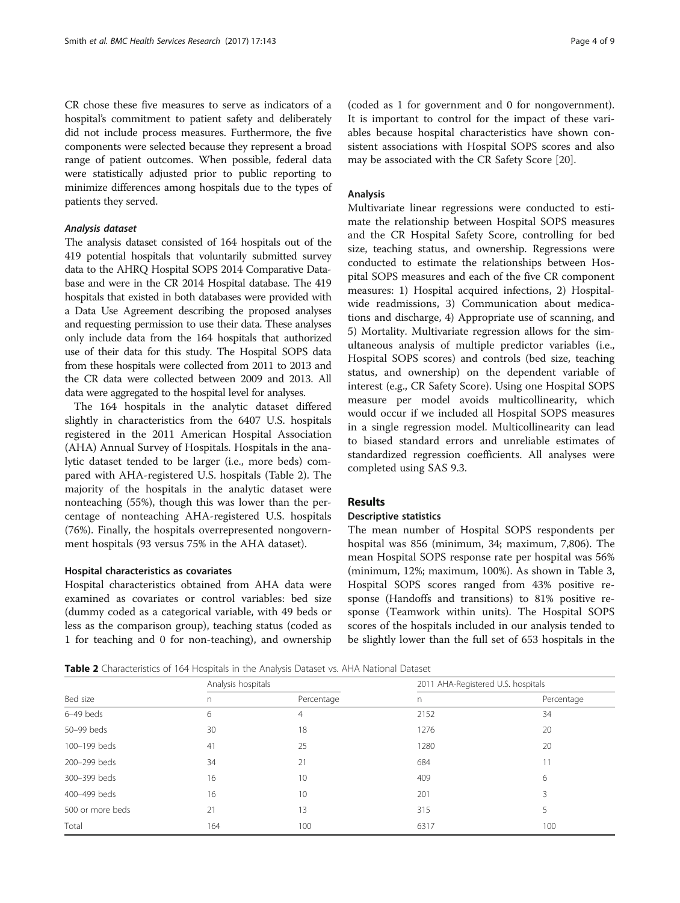CR chose these five measures to serve as indicators of a hospital's commitment to patient safety and deliberately did not include process measures. Furthermore, the five components were selected because they represent a broad range of patient outcomes. When possible, federal data were statistically adjusted prior to public reporting to minimize differences among hospitals due to the types of patients they served.

## Analysis dataset

The analysis dataset consisted of 164 hospitals out of the 419 potential hospitals that voluntarily submitted survey data to the AHRQ Hospital SOPS 2014 Comparative Database and were in the CR 2014 Hospital database. The 419 hospitals that existed in both databases were provided with a Data Use Agreement describing the proposed analyses and requesting permission to use their data. These analyses only include data from the 164 hospitals that authorized use of their data for this study. The Hospital SOPS data from these hospitals were collected from 2011 to 2013 and the CR data were collected between 2009 and 2013. All data were aggregated to the hospital level for analyses.

The 164 hospitals in the analytic dataset differed slightly in characteristics from the 6407 U.S. hospitals registered in the 2011 American Hospital Association (AHA) Annual Survey of Hospitals. Hospitals in the analytic dataset tended to be larger (i.e., more beds) compared with AHA-registered U.S. hospitals (Table 2). The majority of the hospitals in the analytic dataset were nonteaching (55%), though this was lower than the percentage of nonteaching AHA-registered U.S. hospitals (76%). Finally, the hospitals overrepresented nongovernment hospitals (93 versus 75% in the AHA dataset).

#### Hospital characteristics as covariates

Hospital characteristics obtained from AHA data were examined as covariates or control variables: bed size (dummy coded as a categorical variable, with 49 beds or less as the comparison group), teaching status (coded as 1 for teaching and 0 for non-teaching), and ownership

(coded as 1 for government and 0 for nongovernment). It is important to control for the impact of these variables because hospital characteristics have shown consistent associations with Hospital SOPS scores and also may be associated with the CR Safety Score [[20\]](#page-8-0).

#### Analysis

Multivariate linear regressions were conducted to estimate the relationship between Hospital SOPS measures and the CR Hospital Safety Score, controlling for bed size, teaching status, and ownership. Regressions were conducted to estimate the relationships between Hospital SOPS measures and each of the five CR component measures: 1) Hospital acquired infections, 2) Hospitalwide readmissions, 3) Communication about medications and discharge, 4) Appropriate use of scanning, and 5) Mortality. Multivariate regression allows for the simultaneous analysis of multiple predictor variables (i.e., Hospital SOPS scores) and controls (bed size, teaching status, and ownership) on the dependent variable of interest (e.g., CR Safety Score). Using one Hospital SOPS measure per model avoids multicollinearity, which would occur if we included all Hospital SOPS measures in a single regression model. Multicollinearity can lead to biased standard errors and unreliable estimates of standardized regression coefficients. All analyses were completed using SAS 9.3.

## Results

## Descriptive statistics

The mean number of Hospital SOPS respondents per hospital was 856 (minimum, 34; maximum, 7,806). The mean Hospital SOPS response rate per hospital was 56% (minimum, 12%; maximum, 100%). As shown in Table [3](#page-4-0), Hospital SOPS scores ranged from 43% positive response (Handoffs and transitions) to 81% positive response (Teamwork within units). The Hospital SOPS scores of the hospitals included in our analysis tended to be slightly lower than the full set of 653 hospitals in the

Table 2 Characteristics of 164 Hospitals in the Analysis Dataset vs. AHA National Dataset

|                  |                    | . .<br>$\overline{\phantom{a}}$ |                                    |            |  |  |  |  |
|------------------|--------------------|---------------------------------|------------------------------------|------------|--|--|--|--|
| Bed size         | Analysis hospitals |                                 | 2011 AHA-Registered U.S. hospitals |            |  |  |  |  |
|                  | n                  | Percentage                      | n                                  | Percentage |  |  |  |  |
| $6-49$ beds      | 6                  | 4                               | 2152                               | 34         |  |  |  |  |
| 50-99 beds       | 30                 | 18                              | 1276                               | 20         |  |  |  |  |
| 100-199 beds     | 41                 | 25                              | 1280                               | 20         |  |  |  |  |
| 200-299 beds     | 34                 | 21                              | 684                                | 11         |  |  |  |  |
| 300-399 beds     | 16                 | 10                              | 409                                | 6          |  |  |  |  |
| 400-499 beds     | 16                 | 10                              | 201                                | 3          |  |  |  |  |
| 500 or more beds | 21                 | 13                              | 315                                |            |  |  |  |  |
| Total            | 164                | 100                             | 6317                               | 100        |  |  |  |  |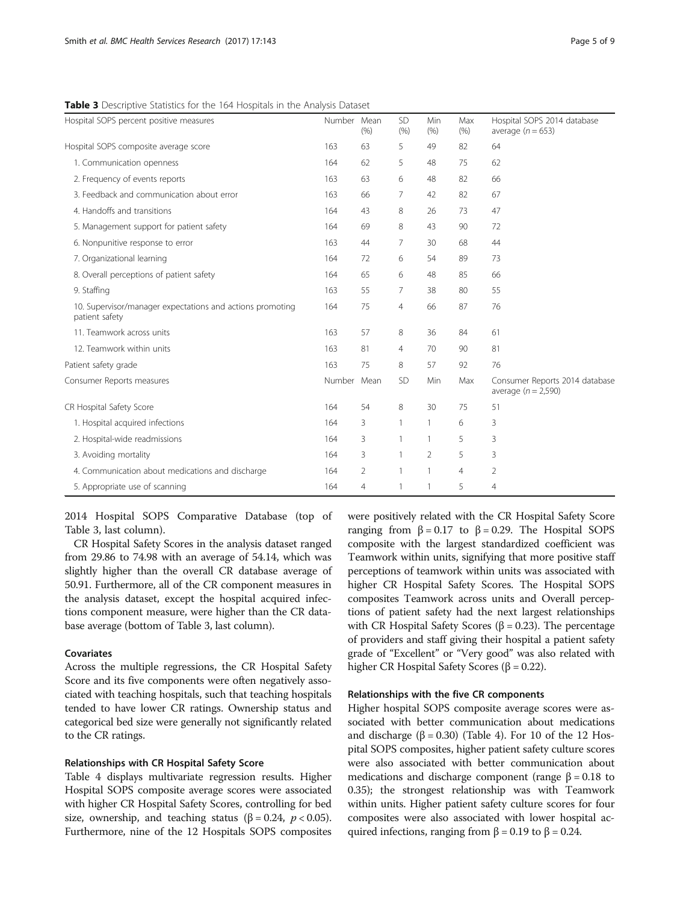<span id="page-4-0"></span>Table 3 Descriptive Statistics for the 164 Hospitals in the Analysis Dataset

| Hospital SOPS percent positive measures                                     | Number Mean | (% )           | <b>SD</b><br>(% ) | Min<br>(% )    | Max<br>(% )    | Hospital SOPS 2014 database<br>average $(n = 653)$      |
|-----------------------------------------------------------------------------|-------------|----------------|-------------------|----------------|----------------|---------------------------------------------------------|
| Hospital SOPS composite average score                                       | 163         | 63             | 5                 | 49             | 82             | 64                                                      |
| 1. Communication openness                                                   | 164         | 62             | 5                 | 48             | 75             | 62                                                      |
| 2. Frequency of events reports                                              | 163         | 63             | 6                 | 48             | 82             | 66                                                      |
| 3. Feedback and communication about error                                   | 163         | 66             | 7                 | 42             | 82             | 67                                                      |
| 4. Handoffs and transitions                                                 | 164         | 43             | 8                 | 26             | 73             | 47                                                      |
| 5. Management support for patient safety                                    | 164         | 69             | 8                 | 43             | 90             | 72                                                      |
| 6. Nonpunitive response to error                                            | 163         | 44             | 7                 | 30             | 68             | 44                                                      |
| 7. Organizational learning                                                  | 164         | 72             | 6                 | 54             | 89             | 73                                                      |
| 8. Overall perceptions of patient safety                                    | 164         | 65             | 6                 | 48             | 85             | 66                                                      |
| 9. Staffing                                                                 | 163         | 55             | 7                 | 38             | 80             | 55                                                      |
| 10. Supervisor/manager expectations and actions promoting<br>patient safety | 164         | 75             | $\overline{4}$    | 66             | 87             | 76                                                      |
| 11. Teamwork across units                                                   | 163         | 57             | 8                 | 36             | 84             | 61                                                      |
| 12. Teamwork within units                                                   | 163         | 81             | $\overline{4}$    | 70             | 90             | 81                                                      |
| Patient safety grade                                                        | 163         | 75             | 8                 | 57             | 92             | 76                                                      |
| Consumer Reports measures                                                   | Number Mean |                | SD                | Min            | Max            | Consumer Reports 2014 database<br>average $(n = 2,590)$ |
| CR Hospital Safety Score                                                    | 164         | 54             | 8                 | 30             | 75             | 51                                                      |
| 1. Hospital acquired infections                                             | 164         | 3              | $\mathbf{1}$      | $\mathbf{1}$   | 6              | 3                                                       |
| 2. Hospital-wide readmissions                                               | 164         | 3              | 1                 | $\mathbf{1}$   | 5              | 3                                                       |
| 3. Avoiding mortality                                                       | 164         | 3              | 1                 | $\overline{2}$ | 5              | 3                                                       |
| 4. Communication about medications and discharge                            | 164         | $\overline{2}$ | $\mathbf{1}$      | 1              | $\overline{4}$ | $\overline{2}$                                          |
| 5. Appropriate use of scanning                                              | 164         | 4              | $\mathbf{1}$      | 1              | 5              | $\overline{4}$                                          |

2014 Hospital SOPS Comparative Database (top of Table 3, last column).

CR Hospital Safety Scores in the analysis dataset ranged from 29.86 to 74.98 with an average of 54.14, which was slightly higher than the overall CR database average of 50.91. Furthermore, all of the CR component measures in the analysis dataset, except the hospital acquired infections component measure, were higher than the CR database average (bottom of Table 3, last column).

## Covariates

Across the multiple regressions, the CR Hospital Safety Score and its five components were often negatively associated with teaching hospitals, such that teaching hospitals tended to have lower CR ratings. Ownership status and categorical bed size were generally not significantly related to the CR ratings.

#### Relationships with CR Hospital Safety Score

Table [4](#page-5-0) displays multivariate regression results. Higher Hospital SOPS composite average scores were associated with higher CR Hospital Safety Scores, controlling for bed size, ownership, and teaching status ( $\beta = 0.24$ ,  $p < 0.05$ ). Furthermore, nine of the 12 Hospitals SOPS composites were positively related with the CR Hospital Safety Score ranging from  $β = 0.17$  to  $β = 0.29$ . The Hospital SOPS composite with the largest standardized coefficient was Teamwork within units, signifying that more positive staff perceptions of teamwork within units was associated with higher CR Hospital Safety Scores. The Hospital SOPS composites Teamwork across units and Overall perceptions of patient safety had the next largest relationships with CR Hospital Safety Scores (β = 0.23). The percentage of providers and staff giving their hospital a patient safety grade of "Excellent" or "Very good" was also related with higher CR Hospital Safety Scores (β = 0.22).

#### Relationships with the five CR components

Higher hospital SOPS composite average scores were associated with better communication about medications and discharge  $(\beta = 0.30)$  (Table [4](#page-5-0)). For 10 of the 12 Hospital SOPS composites, higher patient safety culture scores were also associated with better communication about medications and discharge component (range  $β = 0.18$  to 0.35); the strongest relationship was with Teamwork within units. Higher patient safety culture scores for four composites were also associated with lower hospital acquired infections, ranging from  $\beta$  = 0.19 to  $\beta$  = 0.24.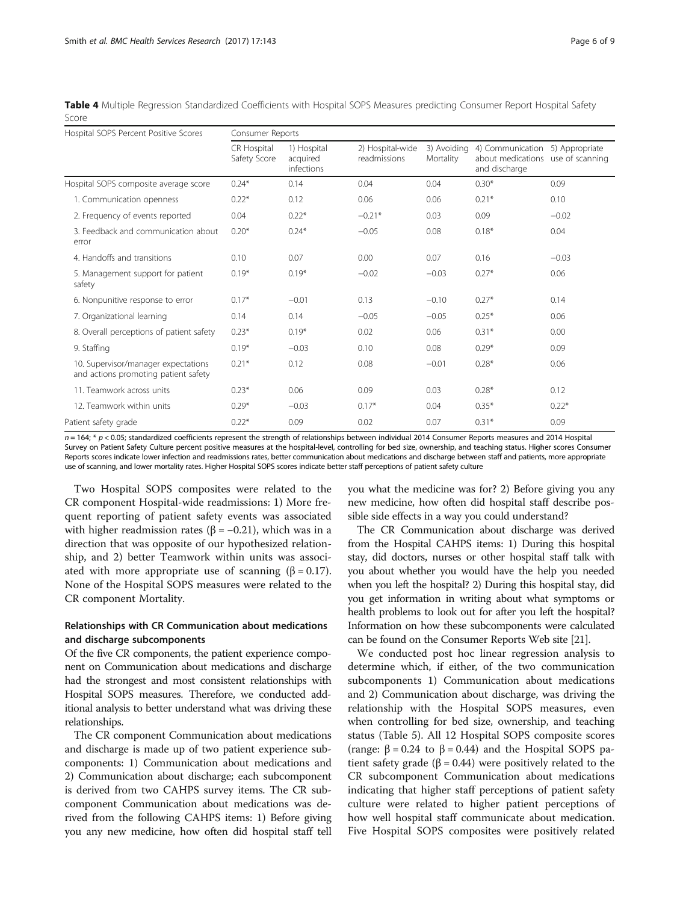<span id="page-5-0"></span>Table 4 Multiple Regression Standardized Coefficients with Hospital SOPS Measures predicting Consumer Report Hospital Safety Score

| Hospital SOPS Percent Positive Scores                                       | Consumer Reports            |                                       |                                  |                          |                                                                        |                |  |
|-----------------------------------------------------------------------------|-----------------------------|---------------------------------------|----------------------------------|--------------------------|------------------------------------------------------------------------|----------------|--|
|                                                                             | CR Hospital<br>Safety Score | 1) Hospital<br>acquired<br>infections | 2) Hospital-wide<br>readmissions | 3) Avoidina<br>Mortality | 4) Communication<br>about medications use of scanning<br>and discharge | 5) Appropriate |  |
| Hospital SOPS composite average score                                       | $0.24*$                     | 0.14                                  | 0.04                             | 0.04                     | $0.30*$                                                                | 0.09           |  |
| 1. Communication openness                                                   | $0.22*$                     | 0.12                                  | 0.06                             | 0.06                     | $0.21*$                                                                | 0.10           |  |
| 2. Frequency of events reported                                             | 0.04                        | $0.22*$                               | $-0.21*$                         | 0.03                     | 0.09                                                                   | $-0.02$        |  |
| 3. Feedback and communication about<br>error                                | $0.20*$                     | $0.24*$                               | $-0.05$                          | 0.08                     | $0.18*$                                                                | 0.04           |  |
| 4. Handoffs and transitions                                                 | 0.10                        | 0.07                                  | 0.00                             | 0.07                     | 0.16                                                                   | $-0.03$        |  |
| 5. Management support for patient<br>safety                                 | $0.19*$                     | $0.19*$                               | $-0.02$                          | $-0.03$                  | $0.27*$                                                                | 0.06           |  |
| 6. Nonpunitive response to error                                            | $0.17*$                     | $-0.01$                               | 0.13                             | $-0.10$                  | $0.27*$                                                                | 0.14           |  |
| 7. Organizational learning                                                  | 0.14                        | 0.14                                  | $-0.05$                          | $-0.05$                  | $0.25*$                                                                | 0.06           |  |
| 8. Overall perceptions of patient safety                                    | $0.23*$                     | $0.19*$                               | 0.02                             | 0.06                     | $0.31*$                                                                | 0.00           |  |
| 9. Staffing                                                                 | $0.19*$                     | $-0.03$                               | 0.10                             | 0.08                     | $0.29*$                                                                | 0.09           |  |
| 10. Supervisor/manager expectations<br>and actions promoting patient safety | $0.21*$                     | 0.12                                  | 0.08                             | $-0.01$                  | $0.28*$                                                                | 0.06           |  |
| 11. Teamwork across units                                                   | $0.23*$                     | 0.06                                  | 0.09                             | 0.03                     | $0.28*$                                                                | 0.12           |  |
| 12. Teamwork within units                                                   | $0.29*$                     | $-0.03$                               | $0.17*$                          | 0.04                     | $0.35*$                                                                | $0.22*$        |  |
| Patient safety grade                                                        | $0.22*$                     | 0.09                                  | 0.02                             | 0.07                     | $0.31*$                                                                | 0.09           |  |

 $n = 164$ ; \*  $p < 0.05$ ; standardized coefficients represent the strength of relationships between individual 2014 Consumer Reports measures and 2014 Hospital Survey on Patient Safety Culture percent positive measures at the hospital-level, controlling for bed size, ownership, and teaching status. Higher scores Consumer Reports scores indicate lower infection and readmissions rates, better communication about medications and discharge between staff and patients, more appropriate use of scanning, and lower mortality rates. Higher Hospital SOPS scores indicate better staff perceptions of patient safety culture

Two Hospital SOPS composites were related to the CR component Hospital-wide readmissions: 1) More frequent reporting of patient safety events was associated with higher readmission rates ( $\beta$  = -0.21), which was in a direction that was opposite of our hypothesized relationship, and 2) better Teamwork within units was associated with more appropriate use of scanning  $(\beta = 0.17)$ . None of the Hospital SOPS measures were related to the CR component Mortality.

## Relationships with CR Communication about medications and discharge subcomponents

Of the five CR components, the patient experience component on Communication about medications and discharge had the strongest and most consistent relationships with Hospital SOPS measures. Therefore, we conducted additional analysis to better understand what was driving these relationships.

The CR component Communication about medications and discharge is made up of two patient experience subcomponents: 1) Communication about medications and 2) Communication about discharge; each subcomponent is derived from two CAHPS survey items. The CR subcomponent Communication about medications was derived from the following CAHPS items: 1) Before giving you any new medicine, how often did hospital staff tell you what the medicine was for? 2) Before giving you any new medicine, how often did hospital staff describe possible side effects in a way you could understand?

The CR Communication about discharge was derived from the Hospital CAHPS items: 1) During this hospital stay, did doctors, nurses or other hospital staff talk with you about whether you would have the help you needed when you left the hospital? 2) During this hospital stay, did you get information in writing about what symptoms or health problems to look out for after you left the hospital? Information on how these subcomponents were calculated can be found on the Consumer Reports Web site [\[21](#page-8-0)].

We conducted post hoc linear regression analysis to determine which, if either, of the two communication subcomponents 1) Communication about medications and 2) Communication about discharge, was driving the relationship with the Hospital SOPS measures, even when controlling for bed size, ownership, and teaching status (Table [5\)](#page-6-0). All 12 Hospital SOPS composite scores (range:  $\beta = 0.24$  to  $\beta = 0.44$ ) and the Hospital SOPS patient safety grade ( $\beta$  = 0.44) were positively related to the CR subcomponent Communication about medications indicating that higher staff perceptions of patient safety culture were related to higher patient perceptions of how well hospital staff communicate about medication. Five Hospital SOPS composites were positively related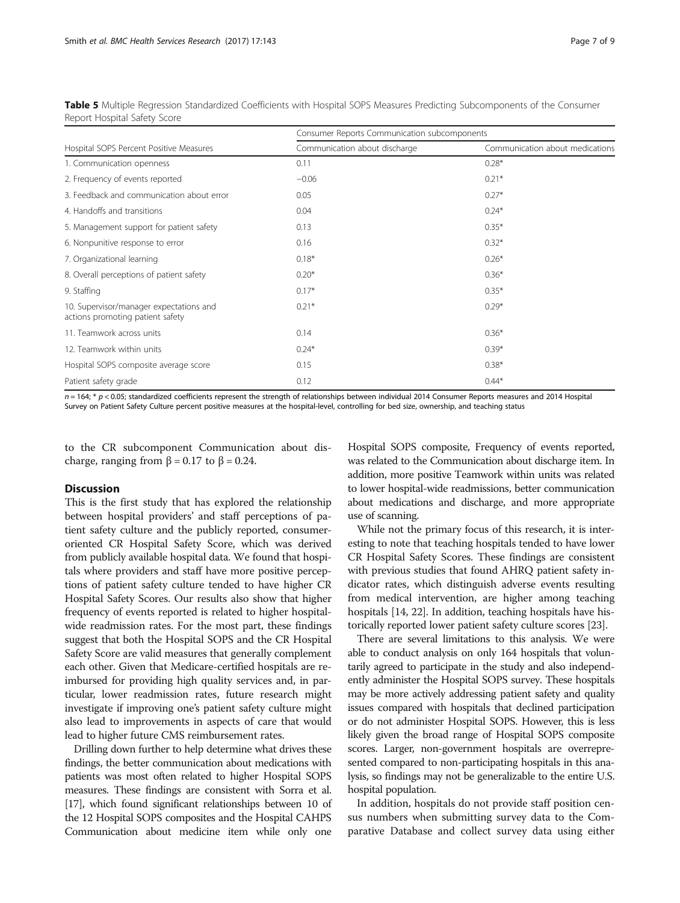|                                                                             | Consumer Reports Communication subcomponents |                                 |  |  |  |  |
|-----------------------------------------------------------------------------|----------------------------------------------|---------------------------------|--|--|--|--|
| Hospital SOPS Percent Positive Measures                                     | Communication about discharge                | Communication about medications |  |  |  |  |
| 1. Communication openness                                                   | 0.11                                         | $0.28*$                         |  |  |  |  |
| 2. Frequency of events reported                                             | $-0.06$                                      | $0.21*$                         |  |  |  |  |
| 3. Feedback and communication about error                                   | 0.05                                         | $0.27*$                         |  |  |  |  |
| 4. Handoffs and transitions                                                 | 0.04                                         | $0.24*$                         |  |  |  |  |
| 5. Management support for patient safety                                    | 0.13                                         | $0.35*$                         |  |  |  |  |
| 6. Nonpunitive response to error                                            | 0.16                                         | $0.32*$                         |  |  |  |  |
| 7. Organizational learning                                                  | $0.18*$                                      | $0.26*$                         |  |  |  |  |
| 8. Overall perceptions of patient safety                                    | $0.20*$                                      | $0.36*$                         |  |  |  |  |
| 9. Staffing                                                                 | $0.17*$                                      | $0.35*$                         |  |  |  |  |
| 10. Supervisor/manager expectations and<br>actions promoting patient safety | $0.21*$                                      | $0.29*$                         |  |  |  |  |
| 11. Teamwork across units                                                   | 0.14                                         | $0.36*$                         |  |  |  |  |
| 12. Teamwork within units                                                   | $0.24*$                                      | $0.39*$                         |  |  |  |  |
| Hospital SOPS composite average score                                       | 0.15                                         | $0.38*$                         |  |  |  |  |
| Patient safety grade                                                        | 0.12                                         | $0.44*$                         |  |  |  |  |

<span id="page-6-0"></span>Table 5 Multiple Regression Standardized Coefficients with Hospital SOPS Measures Predicting Subcomponents of the Consumer Report Hospital Safety Score

 $n = 164$ ; \*  $p < 0.05$ ; standardized coefficients represent the strength of relationships between individual 2014 Consumer Reports measures and 2014 Hospital Survey on Patient Safety Culture percent positive measures at the hospital-level, controlling for bed size, ownership, and teaching status

to the CR subcomponent Communication about discharge, ranging from  $β = 0.17$  to  $β = 0.24$ .

## **Discussion**

This is the first study that has explored the relationship between hospital providers' and staff perceptions of patient safety culture and the publicly reported, consumeroriented CR Hospital Safety Score, which was derived from publicly available hospital data. We found that hospitals where providers and staff have more positive perceptions of patient safety culture tended to have higher CR Hospital Safety Scores. Our results also show that higher frequency of events reported is related to higher hospitalwide readmission rates. For the most part, these findings suggest that both the Hospital SOPS and the CR Hospital Safety Score are valid measures that generally complement each other. Given that Medicare-certified hospitals are reimbursed for providing high quality services and, in particular, lower readmission rates, future research might investigate if improving one's patient safety culture might also lead to improvements in aspects of care that would lead to higher future CMS reimbursement rates.

Drilling down further to help determine what drives these findings, the better communication about medications with patients was most often related to higher Hospital SOPS measures. These findings are consistent with Sorra et al. [[17](#page-8-0)], which found significant relationships between 10 of the 12 Hospital SOPS composites and the Hospital CAHPS Communication about medicine item while only one Hospital SOPS composite, Frequency of events reported, was related to the Communication about discharge item. In addition, more positive Teamwork within units was related to lower hospital-wide readmissions, better communication about medications and discharge, and more appropriate use of scanning.

While not the primary focus of this research, it is interesting to note that teaching hospitals tended to have lower CR Hospital Safety Scores. These findings are consistent with previous studies that found AHRQ patient safety indicator rates, which distinguish adverse events resulting from medical intervention, are higher among teaching hospitals [[14, 22](#page-8-0)]. In addition, teaching hospitals have historically reported lower patient safety culture scores [[23](#page-8-0)].

There are several limitations to this analysis. We were able to conduct analysis on only 164 hospitals that voluntarily agreed to participate in the study and also independently administer the Hospital SOPS survey. These hospitals may be more actively addressing patient safety and quality issues compared with hospitals that declined participation or do not administer Hospital SOPS. However, this is less likely given the broad range of Hospital SOPS composite scores. Larger, non-government hospitals are overrepresented compared to non-participating hospitals in this analysis, so findings may not be generalizable to the entire U.S. hospital population.

In addition, hospitals do not provide staff position census numbers when submitting survey data to the Comparative Database and collect survey data using either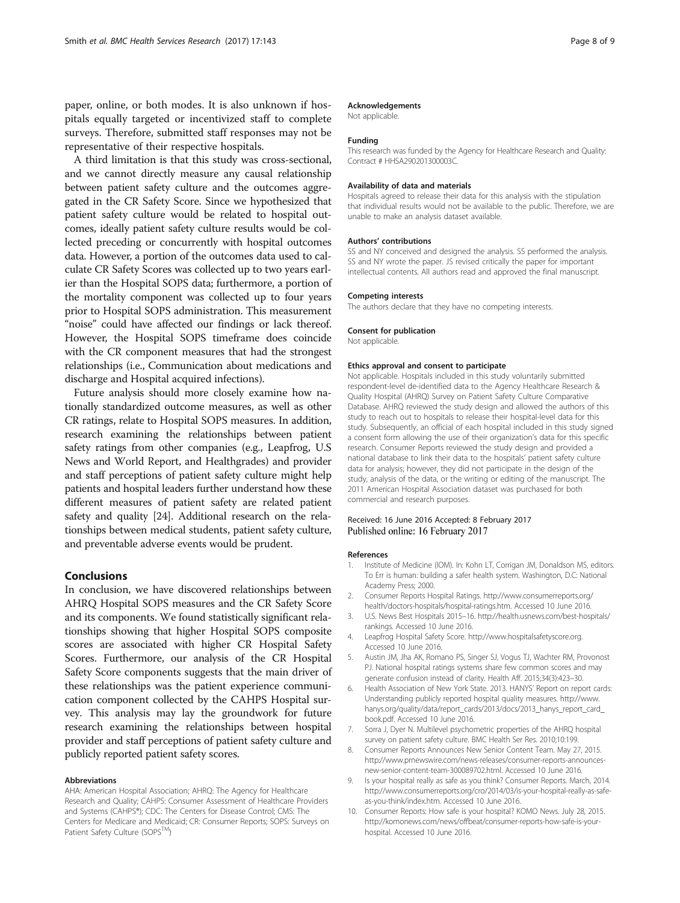<span id="page-7-0"></span>paper, online, or both modes. It is also unknown if hospitals equally targeted or incentivized staff to complete surveys. Therefore, submitted staff responses may not be representative of their respective hospitals.

A third limitation is that this study was cross-sectional, and we cannot directly measure any causal relationship between patient safety culture and the outcomes aggregated in the CR Safety Score. Since we hypothesized that patient safety culture would be related to hospital outcomes, ideally patient safety culture results would be collected preceding or concurrently with hospital outcomes data. However, a portion of the outcomes data used to calculate CR Safety Scores was collected up to two years earlier than the Hospital SOPS data; furthermore, a portion of the mortality component was collected up to four years prior to Hospital SOPS administration. This measurement "noise" could have affected our findings or lack thereof. However, the Hospital SOPS timeframe does coincide with the CR component measures that had the strongest relationships (i.e., Communication about medications and discharge and Hospital acquired infections).

Future analysis should more closely examine how nationally standardized outcome measures, as well as other CR ratings, relate to Hospital SOPS measures. In addition, research examining the relationships between patient safety ratings from other companies (e.g., Leapfrog, U.S News and World Report, and Healthgrades) and provider and staff perceptions of patient safety culture might help patients and hospital leaders further understand how these different measures of patient safety are related patient safety and quality [\[24\]](#page-8-0). Additional research on the relationships between medical students, patient safety culture, and preventable adverse events would be prudent.

## Conclusions

In conclusion, we have discovered relationships between AHRQ Hospital SOPS measures and the CR Safety Score and its components. We found statistically significant relationships showing that higher Hospital SOPS composite scores are associated with higher CR Hospital Safety Scores. Furthermore, our analysis of the CR Hospital Safety Score components suggests that the main driver of these relationships was the patient experience communication component collected by the CAHPS Hospital survey. This analysis may lay the groundwork for future research examining the relationships between hospital provider and staff perceptions of patient safety culture and publicly reported patient safety scores.

#### Abbreviations

AHA: American Hospital Association; AHRQ: The Agency for Healthcare Research and Quality; CAHPS: Consumer Assessment of Healthcare Providers and Systems (CAHPS®); CDC: The Centers for Disease Control; CMS: The Centers for Medicare and Medicaid; CR: Consumer Reports; SOPS: Surveys on Patient Safety Culture (SOPS<sup>IM</sup>)

## Acknowledgements

Not applicable.

#### Funding

This research was funded by the Agency for Healthcare Research and Quality: Contract # HHSA290201300003C.

#### Availability of data and materials

Hospitals agreed to release their data for this analysis with the stipulation that individual results would not be available to the public. Therefore, we are unable to make an analysis dataset available.

#### Authors' contributions

SS and NY conceived and designed the analysis. SS performed the analysis. SS and NY wrote the paper. JS revised critically the paper for important intellectual contents. All authors read and approved the final manuscript.

#### Competing interests

The authors declare that they have no competing interests.

#### Consent for publication

Not applicable.

#### Ethics approval and consent to participate

Not applicable. Hospitals included in this study voluntarily submitted respondent-level de-identified data to the Agency Healthcare Research & Quality Hospital (AHRQ) Survey on Patient Safety Culture Comparative Database. AHRQ reviewed the study design and allowed the authors of this study to reach out to hospitals to release their hospital-level data for this study. Subsequently, an official of each hospital included in this study signed a consent form allowing the use of their organization's data for this specific research. Consumer Reports reviewed the study design and provided a national database to link their data to the hospitals' patient safety culture data for analysis; however, they did not participate in the design of the study, analysis of the data, or the writing or editing of the manuscript. The 2011 American Hospital Association dataset was purchased for both commercial and research purposes.

#### Received: 16 June 2016 Accepted: 8 February 2017 Published online: 16 February 2017

#### References

- Institute of Medicine (IOM). In: Kohn LT, Corrigan JM, Donaldson MS, editors. To Err is human: building a safer health system. Washington, D.C: National Academy Press; 2000.
- 2. Consumer Reports Hospital Ratings. [http://www.consumerreports.org/](http://www.consumerreports.org/health/doctors-hospitals/hospital-ratings.htm) [health/doctors-hospitals/hospital-ratings.htm](http://www.consumerreports.org/health/doctors-hospitals/hospital-ratings.htm). Accessed 10 June 2016.
- 3. U.S. News Best Hospitals 2015–16. [http://health.usnews.com/best-hospitals/](http://health.usnews.com/best-hospitals/rankings) [rankings](http://health.usnews.com/best-hospitals/rankings). Accessed 10 June 2016.
- 4. Leapfrog Hospital Safety Score. [http://www.hospitalsafetyscore.org](http://www.hospitalsafetyscore.org/). Accessed 10 June 2016.
- 5. Austin JM, Jha AK, Romano PS, Singer SJ, Vogus TJ, Wachter RM, Provonost PJ. National hospital ratings systems share few common scores and may generate confusion instead of clarity. Health Aff. 2015;34(3):423–30.
- 6. Health Association of New York State. 2013. HANYS' Report on report cards: Understanding publicly reported hospital quality measures. [http://www.](http://www.hanys.org/quality/data/report_cards/2013/docs/2013_hanys_report_card_book.pdf) [hanys.org/quality/data/report\\_cards/2013/docs/2013\\_hanys\\_report\\_card\\_](http://www.hanys.org/quality/data/report_cards/2013/docs/2013_hanys_report_card_book.pdf) [book.pdf.](http://www.hanys.org/quality/data/report_cards/2013/docs/2013_hanys_report_card_book.pdf) Accessed 10 June 2016.
- 7. Sorra J, Dyer N. Multilevel psychometric properties of the AHRQ hospital survey on patient safety culture. BMC Health Ser Res. 2010;10:199.
- 8. Consumer Reports Announces New Senior Content Team. May 27, 2015. [http://www.prnewswire.com/news-releases/consumer-reports-announces](http://www.prnewswire.com/news-releases/consumer-reports-announces-new-senior-content-team-300089702.html)[new-senior-content-team-300089702.html](http://www.prnewswire.com/news-releases/consumer-reports-announces-new-senior-content-team-300089702.html). Accessed 10 June 2016.
- 9. Is your hospital really as safe as you think? Consumer Reports. March, 2014. [http://www.consumerreports.org/cro/2014/03/is-your-hospital-really-as-safe](http://www.consumerreports.org/cro/2014/03/is-your-hospital-really-as-safe-as-you-think/index.htm)[as-you-think/index.htm](http://www.consumerreports.org/cro/2014/03/is-your-hospital-really-as-safe-as-you-think/index.htm). Accessed 10 June 2016.
- 10. Consumer Reports: How safe is your hospital? KOMO News. July 28, 2015. [http://komonews.com/news/offbeat/consumer-reports-how-safe-is-your](http://komonews.com/news/offbeat/consumer-reports-how-safe-is-your-hospital)[hospital](http://komonews.com/news/offbeat/consumer-reports-how-safe-is-your-hospital). Accessed 10 June 2016.